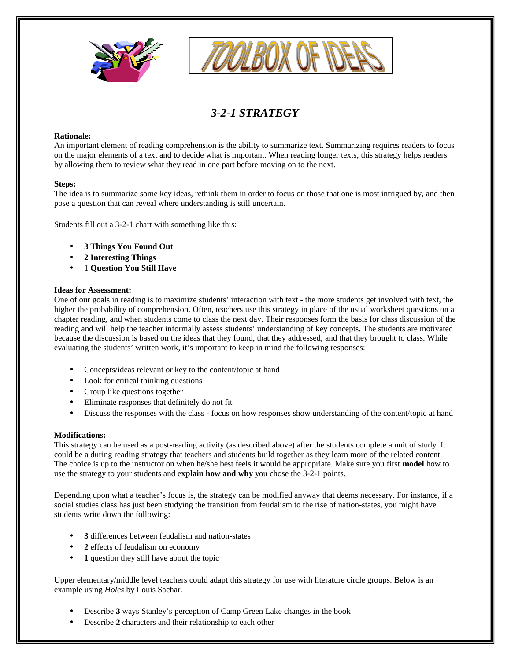



# *3-2-1 STRATEGY*

### **Rationale:**

An important element of reading comprehension is the ability to summarize text. Summarizing requires readers to focus on the major elements of a text and to decide what is important. When reading longer texts, this strategy helps readers by allowing them to review what they read in one part before moving on to the next.

#### **Steps:**

The idea is to summarize some key ideas, rethink them in order to focus on those that one is most intrigued by, and then pose a question that can reveal where understanding is still uncertain.

Students fill out a 3-2-1 chart with something like this:

- **3 Things You Found Out**
- **2 Interesting Things**
- 1 **Question You Still Have**

#### **Ideas for Assessment:**

One of our goals in reading is to maximize students' interaction with text - the more students get involved with text, the higher the probability of comprehension. Often, teachers use this strategy in place of the usual worksheet questions on a chapter reading, and when students come to class the next day. Their responses form the basis for class discussion of the reading and will help the teacher informally assess students' understanding of key concepts. The students are motivated because the discussion is based on the ideas that they found, that they addressed, and that they brought to class. While evaluating the students' written work, it's important to keep in mind the following responses:

- Concepts/ideas relevant or key to the content/topic at hand
- Look for critical thinking questions
- Group like questions together
- Eliminate responses that definitely do not fit
- Discuss the responses with the class focus on how responses show understanding of the content/topic at hand

## **Modifications:**

This strategy can be used as a post-reading activity (as described above) after the students complete a unit of study. It could be a during reading strategy that teachers and students build together as they learn more of the related content. The choice is up to the instructor on when he/she best feels it would be appropriate. Make sure you first **model** how to use the strategy to your students and e**xplain how and why** you chose the 3-2-1 points.

Depending upon what a teacher's focus is, the strategy can be modified anyway that deems necessary. For instance, if a social studies class has just been studying the transition from feudalism to the rise of nation-states, you might have students write down the following:

- **3** differences between feudalism and nation-states
- **2** effects of feudalism on economy
- **1** question they still have about the topic

Upper elementary/middle level teachers could adapt this strategy for use with literature circle groups. Below is an example using *Holes* by Louis Sachar.

- Describe **3** ways Stanley's perception of Camp Green Lake changes in the book
- Describe **2** characters and their relationship to each other